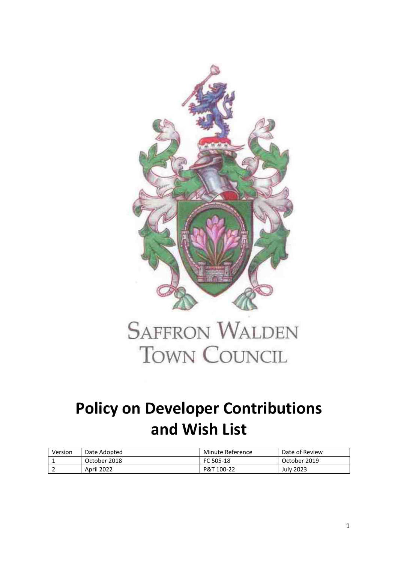

# **SAFFRON WALDEN TOWN COUNCIL**

### **Policy on Developer Contributions and Wish List**

| Version | Date Adopted | Minute Reference | Date of Review |
|---------|--------------|------------------|----------------|
|         | October 2018 | FC 505-18        | October 2019   |
|         | April 2022   | P&T 100-22       | July 2023      |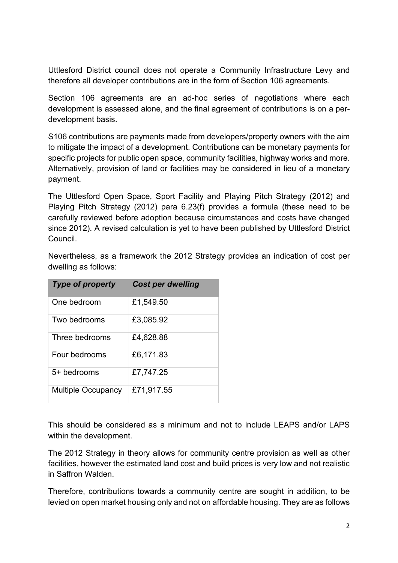Uttlesford District council does not operate a Community Infrastructure Levy and therefore all developer contributions are in the form of Section 106 agreements.

Section 106 agreements are an ad-hoc series of negotiations where each development is assessed alone, and the final agreement of contributions is on a perdevelopment basis.

S106 contributions are payments made from developers/property owners with the aim to mitigate the impact of a development. Contributions can be monetary payments for specific projects for public open space, community facilities, highway works and more. Alternatively, provision of land or facilities may be considered in lieu of a monetary payment.

The Uttlesford Open Space, Sport Facility and Playing Pitch Strategy (2012) and Playing Pitch Strategy (2012) para 6.23(f) provides a formula (these need to be carefully reviewed before adoption because circumstances and costs have changed since 2012). A revised calculation is yet to have been published by Uttlesford District Council.

| <b>Type of property</b>   | <b>Cost per dwelling</b> |
|---------------------------|--------------------------|
| One bedroom               | £1,549.50                |
| Two bedrooms              | £3,085.92                |
| Three bedrooms            | £4,628.88                |
| Four bedrooms             | £6,171.83                |
| 5+ bedrooms               | £7,747.25                |
| <b>Multiple Occupancy</b> | £71,917.55               |

Nevertheless, as a framework the 2012 Strategy provides an indication of cost per dwelling as follows:

This should be considered as a minimum and not to include LEAPS and/or LAPS within the development.

The 2012 Strategy in theory allows for community centre provision as well as other facilities, however the estimated land cost and build prices is very low and not realistic in Saffron Walden.

Therefore, contributions towards a community centre are sought in addition, to be levied on open market housing only and not on affordable housing. They are as follows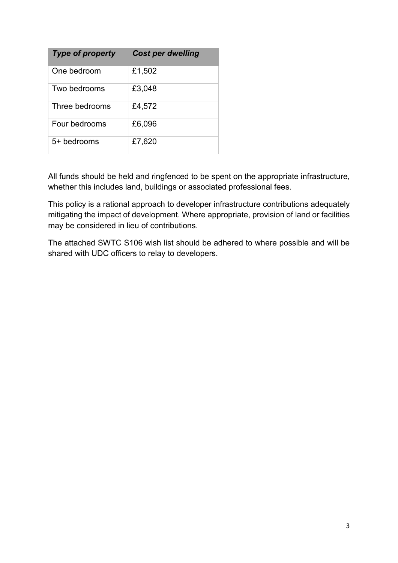| <b>Type of property</b> | <b>Cost per dwelling</b> |
|-------------------------|--------------------------|
| One bedroom             | £1,502                   |
| Two bedrooms            | £3,048                   |
| Three bedrooms          | £4,572                   |
| Four bedrooms           | £6,096                   |
| 5+ bedrooms             | £7,620                   |

All funds should be held and ringfenced to be spent on the appropriate infrastructure, whether this includes land, buildings or associated professional fees.

This policy is a rational approach to developer infrastructure contributions adequately mitigating the impact of development. Where appropriate, provision of land or facilities may be considered in lieu of contributions.

The attached SWTC S106 wish list should be adhered to where possible and will be shared with UDC officers to relay to developers.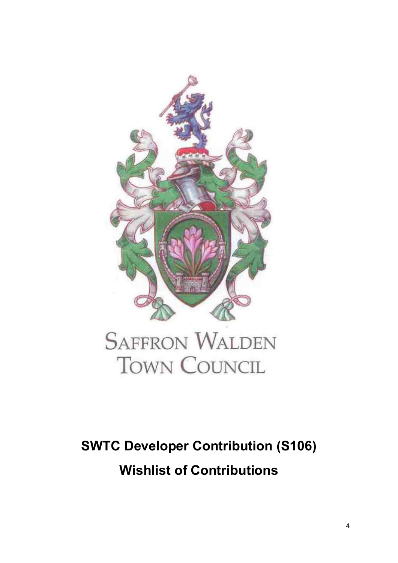

# **SAFFRON WALDEN TOWN COUNCIL**

## **SWTC Developer Contribution (S106) Wishlist of Contributions**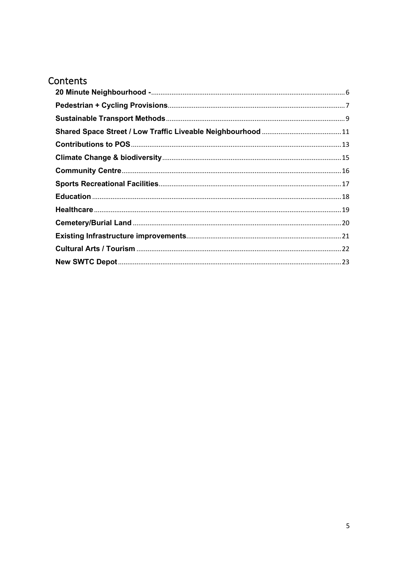### Contents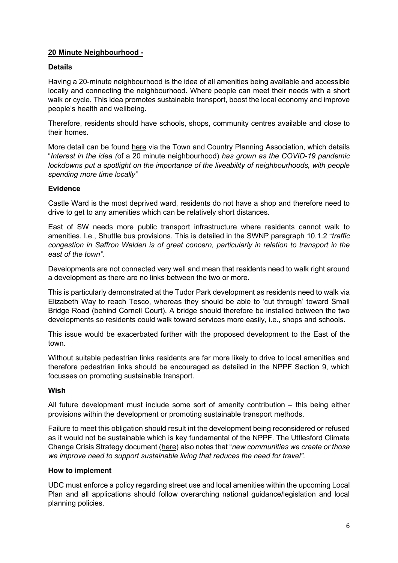#### <span id="page-5-0"></span>**20 Minute Neighbourhood -**

#### **Details**

Having a 20-minute neighbourhood is the idea of all amenities being available and accessible locally and connecting the neighbourhood. Where people can meet their needs with a short walk or cycle. This idea promotes sustainable transport, boost the local economy and improve people's health and wellbeing.

Therefore, residents should have schools, shops, community centres available and close to their homes.

More detail can be found [here](https://www.tcpa.org.uk/the-20-minute-neighbourhood) via the Town and Country Planning Association, which details "*Interest in the idea (*of a 20 minute neighbourhood) *has grown as the COVID-19 pandemic lockdowns put a spotlight on the importance of the liveability of neighbourhoods, with people spending more time locally"*

#### **Evidence**

Castle Ward is the most deprived ward, residents do not have a shop and therefore need to drive to get to any amenities which can be relatively short distances.

East of SW needs more public transport infrastructure where residents cannot walk to amenities. I.e., Shuttle bus provisions. This is detailed in the SWNP paragraph 10.1.2 "*traffic congestion in Saffron Walden is of great concern, particularly in relation to transport in the east of the town".*

Developments are not connected very well and mean that residents need to walk right around a development as there are no links between the two or more.

This is particularly demonstrated at the Tudor Park development as residents need to walk via Elizabeth Way to reach Tesco, whereas they should be able to 'cut through' toward Small Bridge Road (behind Cornell Court). A bridge should therefore be installed between the two developments so residents could walk toward services more easily, i.e., shops and schools.

This issue would be exacerbated further with the proposed development to the East of the town.

Without suitable pedestrian links residents are far more likely to drive to local amenities and therefore pedestrian links should be encouraged as detailed in the NPPF Section 9, which focusses on promoting sustainable transport.

#### **Wish**

All future development must include some sort of amenity contribution – this being either provisions within the development or promoting sustainable transport methods.

Failure to meet this obligation should result int the development being reconsidered or refused as it would not be sustainable which is key fundamental of the NPPF. The Uttlesford Climate Change Crisis Strategy document [\(here\)](https://www.uttlesford.gov.uk/article/7103/Climate-change-strategy) also notes that "*new communities we create or those we improve need to support sustainable living that reduces the need for travel".*

#### **How to implement**

UDC must enforce a policy regarding street use and local amenities within the upcoming Local Plan and all applications should follow overarching national guidance/legislation and local planning policies.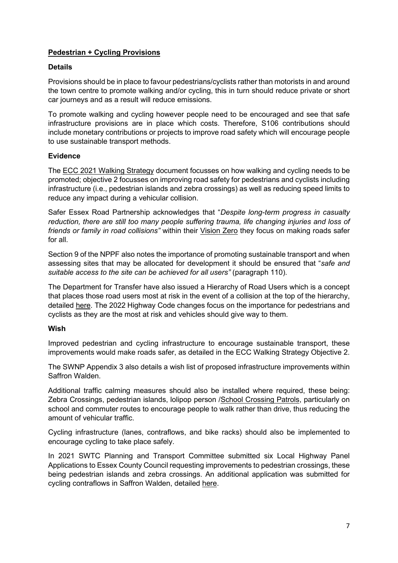#### <span id="page-6-0"></span>**Pedestrian + Cycling Provisions**

#### **Details**

Provisions should be in place to favour pedestrians/cyclists rather than motorists in and around the town centre to promote walking and/or cycling, this in turn should reduce private or short car journeys and as a result will reduce emissions.

To promote walking and cycling however people need to be encouraged and see that safe infrastructure provisions are in place which costs. Therefore, S106 contributions should include monetary contributions or projects to improve road safety which will encourage people to use sustainable transport methods.

#### **Evidence**

The [ECC 2021 Walking Strategy](https://www.essexhighways.org/uploads/road-strategies/walkingstrategy_october2021_final-web.pdf) document focusses on how walking and cycling needs to be promoted; objective 2 focusses on improving road safety for pedestrians and cyclists including infrastructure (i.e., pedestrian islands and zebra crossings) as well as reducing speed limits to reduce any impact during a vehicular collision.

Safer Essex Road Partnership acknowledges that "*Despite long-term progress in casualty reduction, there are still too many people suffering trauma, life changing injuries and loss of friends or family in road collisions"* within their [Vision Zero](https://saferessexroads.org/downloads/VisionZero_Summaryv2.pdf) they focus on making roads safer for all.

Section 9 of the NPPF also notes the importance of promoting sustainable transport and when assessing sites that may be allocated for development it should be ensured that "*safe and suitable access to the site can be achieved for all users"* (paragraph 110).

The Department for Transfer have also issued a Hierarchy of Road Users which is a concept that places those road users most at risk in the event of a collision at the top of the hierarchy, detailed [here.](https://www.gov.uk/government/news/the-highway-code-8-changes-you-need-to-know-from-29-january-2022) The 2022 Highway Code changes focus on the importance for pedestrians and cyclists as they are the most at risk and vehicles should give way to them.

#### **Wish**

Improved pedestrian and cycling infrastructure to encourage sustainable transport, these improvements would make roads safer, as detailed in the ECC Walking Strategy Objective 2.

The SWNP Appendix 3 also details a wish list of proposed infrastructure improvements within Saffron Walden.

Additional traffic calming measures should also be installed where required, these being: Zebra Crossings, pedestrian islands, lolipop person [/School Crossing Patrols,](https://www.essex.gov.uk/school-crossing-patrols) particularly on school and commuter routes to encourage people to walk rather than drive, thus reducing the amount of vehicular traffic.

Cycling infrastructure (lanes, contraflows, and bike racks) should also be implemented to encourage cycling to take place safely.

In 2021 SWTC Planning and Transport Committee submitted six Local Highway Panel Applications to Essex County Council requesting improvements to pedestrian crossings, these being pedestrian islands and zebra crossings. An additional application was submitted for cycling contraflows in Saffron Walden, detailed [here.](https://saffronwalden.gov.uk/documents/highways/)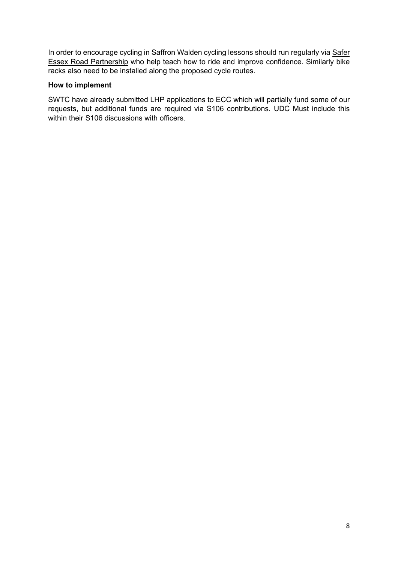In order to encourage cycling in Saffron Walden cycling lessons should run regularly via Safer [Essex Road Partnership](https://saferessexroads.org/road-users/cycling/) who help teach how to ride and improve confidence. Similarly bike racks also need to be installed along the proposed cycle routes.

#### **How to implement**

SWTC have already submitted LHP applications to ECC which will partially fund some of our requests, but additional funds are required via S106 contributions. UDC Must include this within their S106 discussions with officers.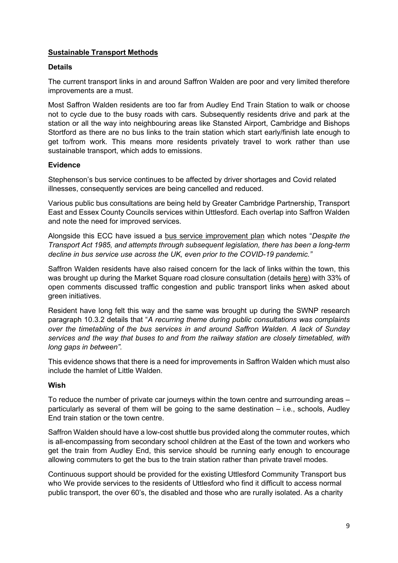#### <span id="page-8-0"></span>**Sustainable Transport Methods**

#### **Details**

The current transport links in and around Saffron Walden are poor and very limited therefore improvements are a must.

Most Saffron Walden residents are too far from Audley End Train Station to walk or choose not to cycle due to the busy roads with cars. Subsequently residents drive and park at the station or all the way into neighbouring areas like Stansted Airport, Cambridge and Bishops Stortford as there are no bus links to the train station which start early/finish late enough to get to/from work. This means more residents privately travel to work rather than use sustainable transport, which adds to emissions.

#### **Evidence**

Stephenson's bus service continues to be affected by driver shortages and Covid related illnesses, consequently services are being cancelled and reduced.

Various public bus consultations are being held by Greater Cambridge Partnership, Transport East and Essex County Councils services within Uttlesford. Each overlap into Saffron Walden and note the need for improved services.

Alongside this ECC have issued a [bus service improvement plan](https://www.essexhighways.org/bus-strategy) which notes "*Despite the Transport Act 1985, and attempts through subsequent legislation, there has been a long-term decline in bus service use across the UK, even prior to the COVID-19 pandemic."*

Saffron Walden residents have also raised concern for the lack of links within the town, this was brought up during the Market Square road closure consultation (details [here\)](https://saffronwalden.gov.uk/calender-event/assets-and-services-meeting-25-october-2021/) with 33% of open comments discussed traffic congestion and public transport links when asked about green initiatives.

Resident have long felt this way and the same was brought up during the SWNP research paragraph 10.3.2 details that "*A recurring theme during public consultations was complaints over the timetabling of the bus services in and around Saffron Walden. A lack of Sunday services and the way that buses to and from the railway station are closely timetabled, with long gaps in between".*

This evidence shows that there is a need for improvements in Saffron Walden which must also include the hamlet of Little Walden.

#### **Wish**

To reduce the number of private car journeys within the town centre and surrounding areas – particularly as several of them will be going to the same destination – i.e., schools, Audley End train station or the town centre.

Saffron Walden should have a low-cost shuttle bus provided along the commuter routes, which is all-encompassing from secondary school children at the East of the town and workers who get the train from Audley End, this service should be running early enough to encourage allowing commuters to get the bus to the train station rather than private travel modes.

Continuous support should be provided for the existing Uttlesford Community Transport bus who We provide services to the residents of Uttlesford who find it difficult to access normal public transport, the over 60's, the disabled and those who are rurally isolated. As a charity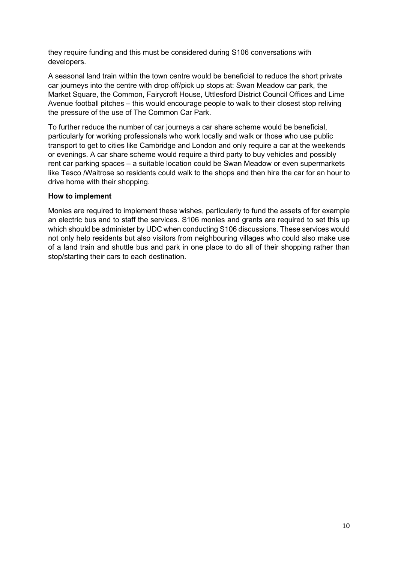they require funding and this must be considered during S106 conversations with developers.

A seasonal land train within the town centre would be beneficial to reduce the short private car journeys into the centre with drop off/pick up stops at: Swan Meadow car park, the Market Square, the Common, Fairycroft House, Uttlesford District Council Offices and Lime Avenue football pitches – this would encourage people to walk to their closest stop reliving the pressure of the use of The Common Car Park.

To further reduce the number of car journeys a car share scheme would be beneficial, particularly for working professionals who work locally and walk or those who use public transport to get to cities like Cambridge and London and only require a car at the weekends or evenings. A car share scheme would require a third party to buy vehicles and possibly rent car parking spaces – a suitable location could be Swan Meadow or even supermarkets like Tesco /Waitrose so residents could walk to the shops and then hire the car for an hour to drive home with their shopping.

#### **How to implement**

Monies are required to implement these wishes, particularly to fund the assets of for example an electric bus and to staff the services. S106 monies and grants are required to set this up which should be administer by UDC when conducting S106 discussions. These services would not only help residents but also visitors from neighbouring villages who could also make use of a land train and shuttle bus and park in one place to do all of their shopping rather than stop/starting their cars to each destination.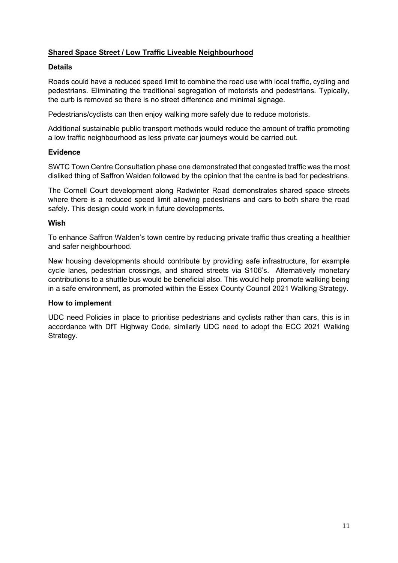#### <span id="page-10-0"></span>**Shared Space Street / Low Traffic Liveable Neighbourhood**

#### **Details**

Roads could have a reduced speed limit to combine the road use with local traffic, cycling and pedestrians. Eliminating the traditional segregation of motorists and pedestrians. Typically, the curb is removed so there is no street difference and minimal signage.

Pedestrians/cyclists can then enjoy walking more safely due to reduce motorists.

Additional sustainable public transport methods would reduce the amount of traffic promoting a low traffic neighbourhood as less private car journeys would be carried out.

#### **Evidence**

SWTC Town Centre Consultation phase one demonstrated that congested traffic was the most disliked thing of Saffron Walden followed by the opinion that the centre is bad for pedestrians.

The Cornell Court development along Radwinter Road demonstrates shared space streets where there is a reduced speed limit allowing pedestrians and cars to both share the road safely. This design could work in future developments.

#### **Wish**

To enhance Saffron Walden's town centre by reducing private traffic thus creating a healthier and safer neighbourhood.

New housing developments should contribute by providing safe infrastructure, for example cycle lanes, pedestrian crossings, and shared streets via S106's. Alternatively monetary contributions to a shuttle bus would be beneficial also. This would help promote walking being in a safe environment, as promoted within the Essex County Council 2021 Walking Strategy.

#### **How to implement**

UDC need Policies in place to prioritise pedestrians and cyclists rather than cars, this is in accordance with DfT Highway Code, similarly UDC need to adopt the ECC 2021 Walking Strategy.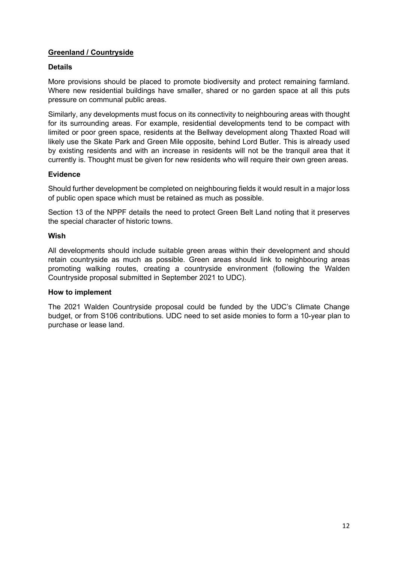#### **Greenland / Countryside**

#### **Details**

More provisions should be placed to promote biodiversity and protect remaining farmland. Where new residential buildings have smaller, shared or no garden space at all this puts pressure on communal public areas.

Similarly, any developments must focus on its connectivity to neighbouring areas with thought for its surrounding areas. For example, residential developments tend to be compact with limited or poor green space, residents at the Bellway development along Thaxted Road will likely use the Skate Park and Green Mile opposite, behind Lord Butler. This is already used by existing residents and with an increase in residents will not be the tranquil area that it currently is. Thought must be given for new residents who will require their own green areas.

#### **Evidence**

Should further development be completed on neighbouring fields it would result in a major loss of public open space which must be retained as much as possible.

Section 13 of the NPPF details the need to protect Green Belt Land noting that it preserves the special character of historic towns.

#### **Wish**

All developments should include suitable green areas within their development and should retain countryside as much as possible. Green areas should link to neighbouring areas promoting walking routes, creating a countryside environment (following the Walden Countryside proposal submitted in September 2021 to UDC).

#### **How to implement**

The 2021 Walden Countryside proposal could be funded by the UDC's Climate Change budget, or from S106 contributions. UDC need to set aside monies to form a 10-year plan to purchase or lease land.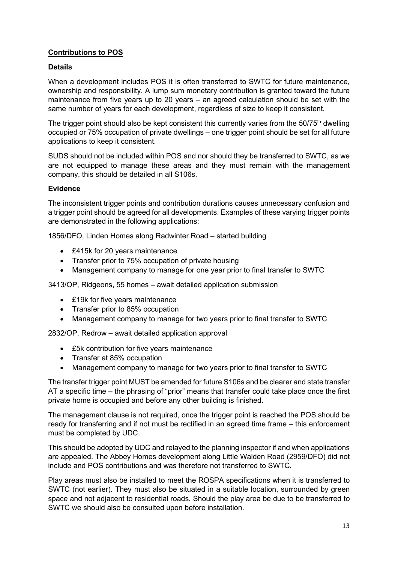#### <span id="page-12-0"></span>**Contributions to POS**

#### **Details**

When a development includes POS it is often transferred to SWTC for future maintenance, ownership and responsibility. A lump sum monetary contribution is granted toward the future maintenance from five years up to 20 years – an agreed calculation should be set with the same number of years for each development, regardless of size to keep it consistent.

The trigger point should also be kept consistent this currently varies from the  $50/75<sup>th</sup>$  dwelling occupied or 75% occupation of private dwellings – one trigger point should be set for all future applications to keep it consistent.

SUDS should not be included within POS and nor should they be transferred to SWTC, as we are not equipped to manage these areas and they must remain with the management company, this should be detailed in all S106s.

#### **Evidence**

The inconsistent trigger points and contribution durations causes unnecessary confusion and a trigger point should be agreed for all developments. Examples of these varying trigger points are demonstrated in the following applications:

1856/DFO, Linden Homes along Radwinter Road – started building

- £415k for 20 years maintenance
- Transfer prior to 75% occupation of private housing
- Management company to manage for one year prior to final transfer to SWTC

3413/OP, Ridgeons, 55 homes – await detailed application submission

- £19k for five years maintenance
- Transfer prior to 85% occupation
- Management company to manage for two years prior to final transfer to SWTC

2832/OP, Redrow – await detailed application approval

- £5k contribution for five years maintenance
- Transfer at 85% occupation
- Management company to manage for two years prior to final transfer to SWTC

The transfer trigger point MUST be amended for future S106s and be clearer and state transfer AT a specific time – the phrasing of "prior" means that transfer could take place once the first private home is occupied and before any other building is finished.

The management clause is not required, once the trigger point is reached the POS should be ready for transferring and if not must be rectified in an agreed time frame – this enforcement must be completed by UDC.

This should be adopted by UDC and relayed to the planning inspector if and when applications are appealed. The Abbey Homes development along Little Walden Road (2959/DFO) did not include and POS contributions and was therefore not transferred to SWTC.

Play areas must also be installed to meet the ROSPA specifications when it is transferred to SWTC (not earlier). They must also be situated in a suitable location, surrounded by green space and not adjacent to residential roads. Should the play area be due to be transferred to SWTC we should also be consulted upon before installation.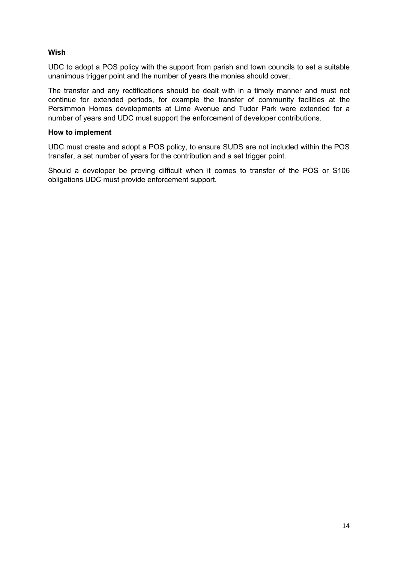#### **Wish**

UDC to adopt a POS policy with the support from parish and town councils to set a suitable unanimous trigger point and the number of years the monies should cover.

The transfer and any rectifications should be dealt with in a timely manner and must not continue for extended periods, for example the transfer of community facilities at the Persimmon Homes developments at Lime Avenue and Tudor Park were extended for a number of years and UDC must support the enforcement of developer contributions.

#### **How to implement**

UDC must create and adopt a POS policy, to ensure SUDS are not included within the POS transfer, a set number of years for the contribution and a set trigger point.

Should a developer be proving difficult when it comes to transfer of the POS or S106 obligations UDC must provide enforcement support.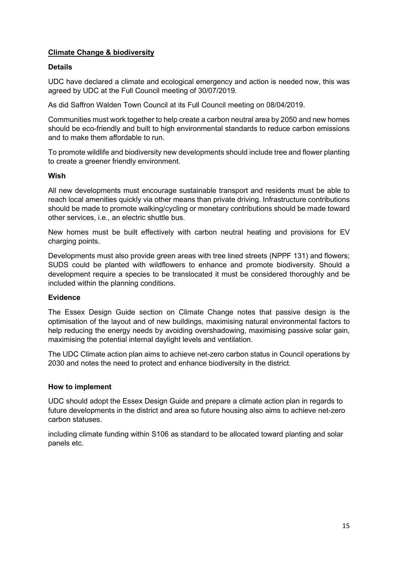#### <span id="page-14-0"></span>**Climate Change & biodiversity**

#### **Details**

UDC have declared a climate and ecological emergency and action is needed now, this was agreed by UDC at the Full Council meeting of 30/07/2019.

As did Saffron Walden Town Council at its Full Council meeting on 08/04/2019.

Communities must work together to help create a carbon neutral area by 2050 and new homes should be eco-friendly and built to high environmental standards to reduce carbon emissions and to make them affordable to run.

To promote wildlife and biodiversity new developments should include tree and flower planting to create a greener friendly environment.

#### **Wish**

All new developments must encourage sustainable transport and residents must be able to reach local amenities quickly via other means than private driving. Infrastructure contributions should be made to promote walking/cycling or monetary contributions should be made toward other services, i.e., an electric shuttle bus.

New homes must be built effectively with carbon neutral heating and provisions for EV charging points.

Developments must also provide green areas with tree lined streets (NPPF 131) and flowers; SUDS could be planted with wildflowers to enhance and promote biodiversity. Should a development require a species to be translocated it must be considered thoroughly and be included within the planning conditions.

#### **Evidence**

The Essex Design Guide section on Climate Change notes that passive design is the optimisation of the layout and of new buildings, maximising natural environmental factors to help reducing the energy needs by avoiding overshadowing, maximising passive solar gain, maximising the potential internal daylight levels and ventilation.

The UDC Climate action plan aims to achieve net-zero carbon status in Council operations by 2030 and notes the need to protect and enhance biodiversity in the district.

#### **How to implement**

UDC should adopt the Essex Design Guide and prepare a climate action plan in regards to future developments in the district and area so future housing also aims to achieve net-zero carbon statuses.

including climate funding within S106 as standard to be allocated toward planting and solar panels etc.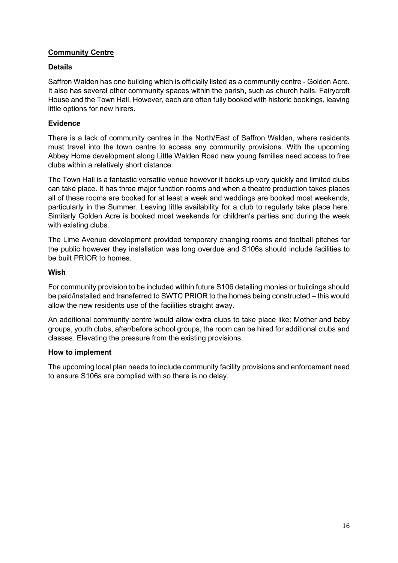#### <span id="page-15-0"></span>**Community Centre**

#### **Details**

Saffron Walden has one building which is officially listed as a community centre - Golden Acre. It also has several other community spaces within the parish, such as church halls, Fairycroft House and the Town Hall. However, each are often fully booked with historic bookings, leaving little options for new hirers.

#### **Evidence**

There is a lack of community centres in the North/East of Saffron Walden, where residents must travel into the town centre to access any community provisions. With the upcoming Abbey Home development along Little Walden Road new young families need access to free clubs within a relatively short distance.

The Town Hall is a fantastic versatile venue however it books up very quickly and limited clubs can take place. It has three major function rooms and when a theatre production takes places all of these rooms are booked for at least a week and weddings are booked most weekends, particularly in the Summer. Leaving little availability for a club to regularly take place here. Similarly Golden Acre is booked most weekends for children's parties and during the week with existing clubs.

The Lime Avenue development provided temporary changing rooms and football pitches for the public however they installation was long overdue and S106s should include facilities to be built PRIOR to homes.

#### **Wish**

For community provision to be included within future S106 detailing monies or buildings should be paid/installed and transferred to SWTC PRIOR to the homes being constructed – this would allow the new residents use of the facilities straight away.

An additional community centre would allow extra clubs to take place like: Mother and baby groups, youth clubs, after/before school groups, the room can be hired for additional clubs and classes. Elevating the pressure from the existing provisions.

#### **How to implement**

The upcoming local plan needs to include community facility provisions and enforcement need to ensure S106s are complied with so there is no delay.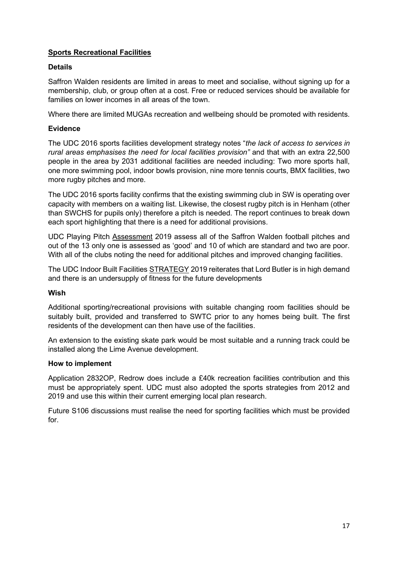#### <span id="page-16-0"></span>**Sports Recreational Facilities**

#### **Details**

Saffron Walden residents are limited in areas to meet and socialise, without signing up for a membership, club, or group often at a cost. Free or reduced services should be available for families on lower incomes in all areas of the town.

Where there are limited MUGAs recreation and wellbeing should be promoted with residents.

#### **Evidence**

The UDC 2016 sports facilities development strategy notes "*the lack of access to services in rural areas emphasises the need for local facilities provision"* and that with an extra 22,500 people in the area by 2031 additional facilities are needed including: Two more sports hall, one more swimming pool, indoor bowls provision, nine more tennis courts, BMX facilities, two more rugby pitches and more.

The UDC 2016 sports facility confirms that the existing swimming club in SW is operating over capacity with members on a waiting list. Likewise, the closest rugby pitch is in Henham (other than SWCHS for pupils only) therefore a pitch is needed. The report continues to break down each sport highlighting that there is a need for additional provisions.

UDC Playing Pitch [Assessment](https://www.uttlesford.gov.uk/media/9622/ED14E-Uttlesford-Playing-Pitch-Strategy-Assessment-Report/pdf/Uttlesford_Playing_Pitch_Strategy_Assessment_Report_May_2019v2_A.pdf?m=637472620479430000) 2019 assess all of the Saffron Walden football pitches and out of the 13 only one is assessed as 'good' and 10 of which are standard and two are poor. With all of the clubs noting the need for additional pitches and improved changing facilities.

The UDC Indoor Built Facilities [STRATEGY](https://www.uttlesford.gov.uk/media/9617/ED14-Uttlesford-Indoor-Sports-Facilities-Strategy/pdf/ED14_Uttlesford_Indoor_Sports_Facilities_Strategy.pdf?m=637472620474170000) 2019 reiterates that Lord Butler is in high demand and there is an undersupply of fitness for the future developments

#### **Wish**

Additional sporting/recreational provisions with suitable changing room facilities should be suitably built, provided and transferred to SWTC prior to any homes being built. The first residents of the development can then have use of the facilities.

An extension to the existing skate park would be most suitable and a running track could be installed along the Lime Avenue development.

#### **How to implement**

Application 2832OP, Redrow does include a £40k recreation facilities contribution and this must be appropriately spent. UDC must also adopted the sports strategies from 2012 and 2019 and use this within their current emerging local plan research.

Future S106 discussions must realise the need for sporting facilities which must be provided for.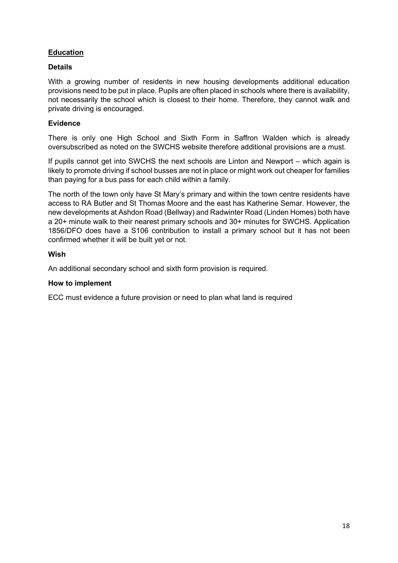#### <span id="page-17-0"></span>**Education**

#### **Details**

With a growing number of residents in new housing developments additional education provisions need to be put in place. Pupils are often placed in schools where there is availability, not necessarily the school which is closest to their home. Therefore, they cannot walk and private driving is encouraged.

#### **Evidence**

There is only one High School and Sixth Form in Saffron Walden which is already oversubscribed as noted on the SWCHS website therefore additional provisions are a must.

If pupils cannot get into SWCHS the next schools are Linton and Newport – which again is likely to promote driving if school busses are not in place or might work out cheaper for families than paying for a bus pass for each child within a family.

The north of the town only have St Mary's primary and within the town centre residents have access to RA Butler and St Thomas Moore and the east has Katherine Semar. However, the new developments at Ashdon Road (Bellway) and Radwinter Road (Linden Homes) both have a 20+ minute walk to their nearest primary schools and 30+ minutes for SWCHS. Application 1856/DFO does have a S106 contribution to install a primary school but it has not been confirmed whether it will be built yet or not.

#### **Wish**

An additional secondary school and sixth form provision is required.

#### **How to implement**

ECC must evidence a future provision or need to plan what land is required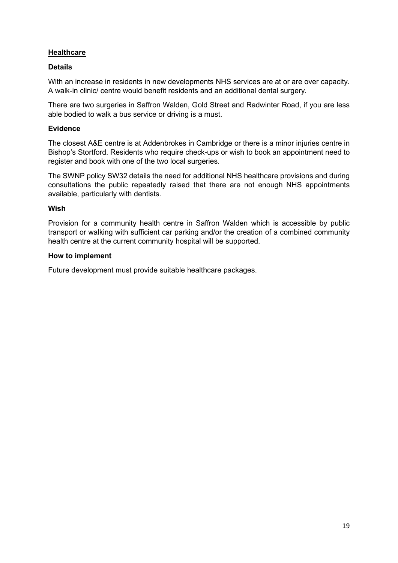#### <span id="page-18-0"></span>**Healthcare**

#### **Details**

With an increase in residents in new developments NHS services are at or are over capacity. A walk-in clinic/ centre would benefit residents and an additional dental surgery.

There are two surgeries in Saffron Walden, Gold Street and Radwinter Road, if you are less able bodied to walk a bus service or driving is a must.

#### **Evidence**

The closest A&E centre is at Addenbrokes in Cambridge or there is a minor injuries centre in Bishop's Stortford. Residents who require check-ups or wish to book an appointment need to register and book with one of the two local surgeries.

The SWNP policy SW32 details the need for additional NHS healthcare provisions and during consultations the public repeatedly raised that there are not enough NHS appointments available, particularly with dentists.

#### **Wish**

Provision for a community health centre in Saffron Walden which is accessible by public transport or walking with sufficient car parking and/or the creation of a combined community health centre at the current community hospital will be supported.

#### **How to implement**

Future development must provide suitable healthcare packages.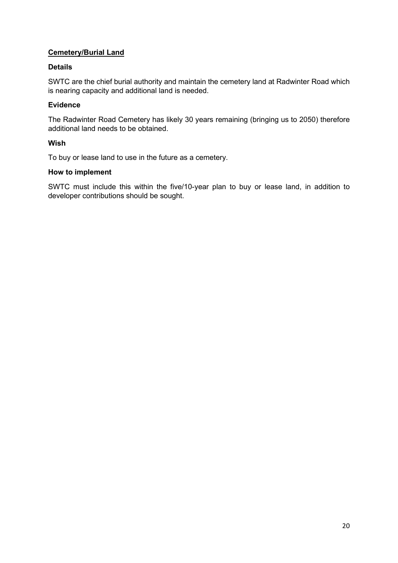#### <span id="page-19-0"></span>**Cemetery/Burial Land**

#### **Details**

SWTC are the chief burial authority and maintain the cemetery land at Radwinter Road which is nearing capacity and additional land is needed.

#### **Evidence**

The Radwinter Road Cemetery has likely 30 years remaining (bringing us to 2050) therefore additional land needs to be obtained.

#### **Wish**

To buy or lease land to use in the future as a cemetery.

#### **How to implement**

SWTC must include this within the five/10-year plan to buy or lease land, in addition to developer contributions should be sought.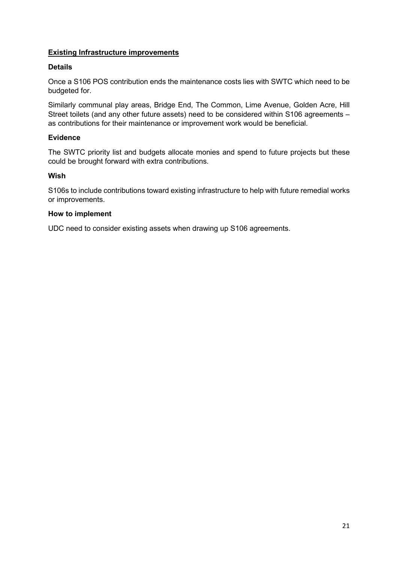#### <span id="page-20-0"></span>**Existing Infrastructure improvements**

#### **Details**

Once a S106 POS contribution ends the maintenance costs lies with SWTC which need to be budgeted for.

Similarly communal play areas, Bridge End, The Common, Lime Avenue, Golden Acre, Hill Street toilets (and any other future assets) need to be considered within S106 agreements – as contributions for their maintenance or improvement work would be beneficial.

#### **Evidence**

The SWTC priority list and budgets allocate monies and spend to future projects but these could be brought forward with extra contributions.

#### **Wish**

S106s to include contributions toward existing infrastructure to help with future remedial works or improvements.

#### **How to implement**

UDC need to consider existing assets when drawing up S106 agreements.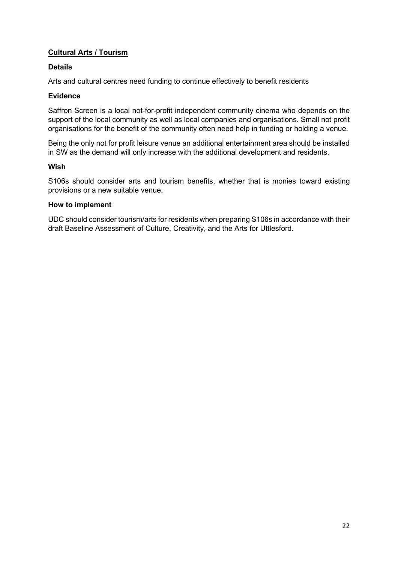#### <span id="page-21-0"></span>**Cultural Arts / Tourism**

#### **Details**

Arts and cultural centres need funding to continue effectively to benefit residents

#### **Evidence**

Saffron Screen is a local not-for-profit independent community cinema who depends on the support of the local community as well as local companies and organisations. Small not profit organisations for the benefit of the community often need help in funding or holding a venue.

Being the only not for profit leisure venue an additional entertainment area should be installed in SW as the demand will only increase with the additional development and residents.

#### **Wish**

S106s should consider arts and tourism benefits, whether that is monies toward existing provisions or a new suitable venue.

#### **How to implement**

UDC should consider tourism/arts for residents when preparing S106s in accordance with their draft Baseline Assessment of Culture, Creativity, and the Arts for Uttlesford.